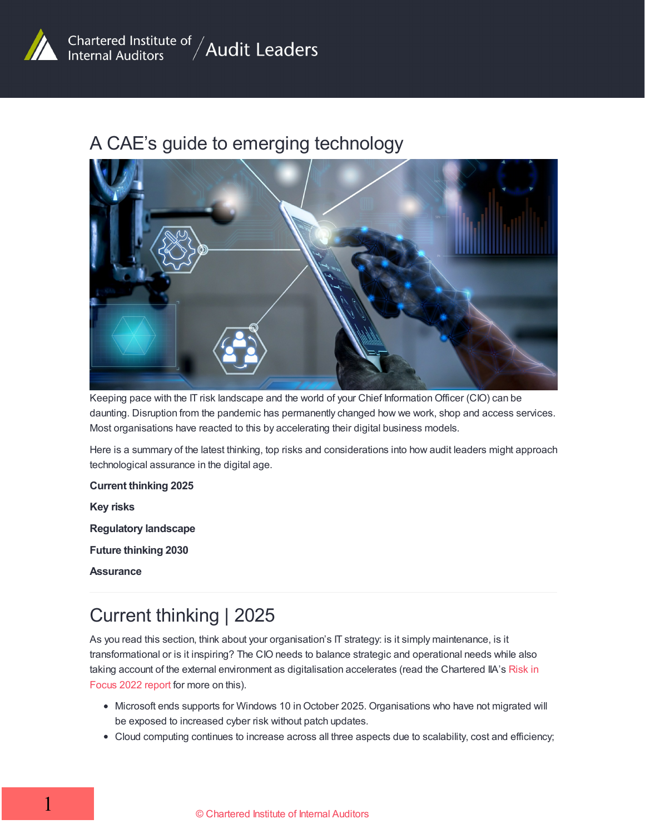

#### A CAE's guide to emerging technology



Keeping pace with the IT risk landscape and the world of your Chief Information Officer (CIO) can be daunting. Disruption from the pandemic has permanently changed how we work, shop and access services. Most organisations have reacted to this by accelerating their digital business models.

Here is a summary of the latest thinking, top risks and considerations into how audit leaders might approach technological assurance in the digital age.

#### **Current thinking 2025**

**Key risks**

**Regulatory landscape**

**Future thinking 2030**

**Assurance**

### Current thinking | 2025

As you read this section, think about your organisation's IT strategy: is it simply maintenance, is it transformational or is it inspiring? The CIO needs to balance strategic and operational needs while also taking account of the external environment as [digitalisation](https://www.iia.org.uk/media/1691900/risk-in-focus-2022.pdf) accelerates (read the Chartered IIA's Risk in Focus 2022 report for more on this).

- Microsoft ends supports for Windows 10 in October 2025. Organisations who have not migrated will be exposed to increased cyber risk without patch updates.
- Cloud computing continues to increase across all three aspects due to scalability, cost and efficiency;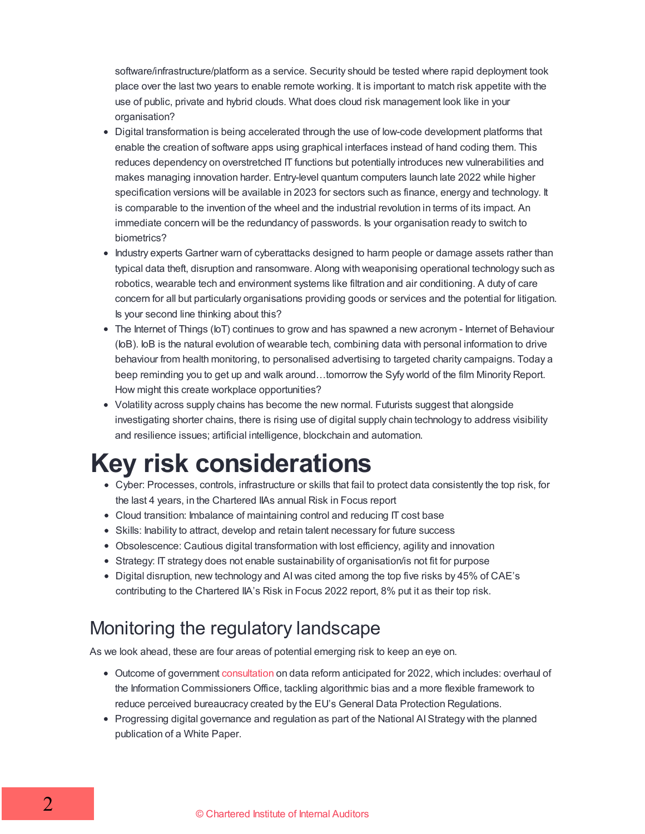software/infrastructure/platform as a service. Security should be tested where rapid deployment took place over the last two years to enable remote working. It is important to match risk appetite with the use of public, private and hybrid clouds. What does cloud risk management look like in your organisation?

- Digital transformation is being accelerated through the use of low-code development platforms that enable the creation of software apps using graphical interfaces instead of hand coding them. This reduces dependency on overstretched IT functions but potentially introduces new vulnerabilities and makes managing innovation harder. Entry-level quantum computers launch late 2022 while higher specification versions will be available in 2023 for sectors such as finance, energy and technology. It is comparable to the invention of the wheel and the industrial revolution in terms of its impact. An immediate concern will be the redundancy of passwords. Is your organisation ready to switch to biometrics?
- Industry experts Gartner warn of cyberattacks designed to harm people or damage assets rather than typical data theft, disruption and ransomware. Along with weaponising operational technology such as robotics, wearable tech and environment systems like filtration and air conditioning. A duty of care concern for all but particularly organisations providing goods or services and the potential for litigation. Is your second line thinking about this?
- The Internet of Things (IoT) continues to grow and has spawned a new acronym Internet of Behaviour (IoB). IoB is the natural evolution of wearable tech, combining data with personal information to drive behaviour from health monitoring, to personalised advertising to targeted charity campaigns. Today a beep reminding you to get up and walk around…tomorrow the Syfy world of the film Minority Report. How might this create workplace opportunities?
- Volatility across supply chains has become the new normal. Futurists suggest that alongside investigating shorter chains, there is rising use of digital supply chain technology to address visibility and resilience issues; artificial intelligence, blockchain and automation.

# **Key risk considerations**

- Cyber: Processes, controls, infrastructure or skills that fail to protect data consistently the top risk, for the last 4 years, in the Chartered IIAs annual Risk in Focus report
- Cloud transition: Imbalance of maintaining control and reducing IT cost base
- Skills: Inability to attract, develop and retain talent necessary for future success
- Obsolescence: Cautious digital transformation with lost efficiency, agility and innovation
- Strategy: IT strategy does not enable sustainability of organisation/is not fit for purpose
- Digital disruption, new technology and AI was cited among the top five risks by 45% of CAE's contributing to the Chartered IIA's Risk in Focus 2022 report, 8% put it as their top risk.

## Monitoring the regulatory landscape

As we look ahead, these are four areas of potential emerging risk to keep an eye on.

- Outcome of government [consultation](https://www.gov.uk/government/consultations/data-a-new-direction) on data reform anticipated for 2022, which includes: overhaul of the Information Commissioners Office, tackling algorithmic bias and a more flexible framework to reduce perceived bureaucracy created by the EU's General Data Protection Regulations.
- Progressing digital governance and regulation as part of the National AIStrategy with the planned publication of a White Paper.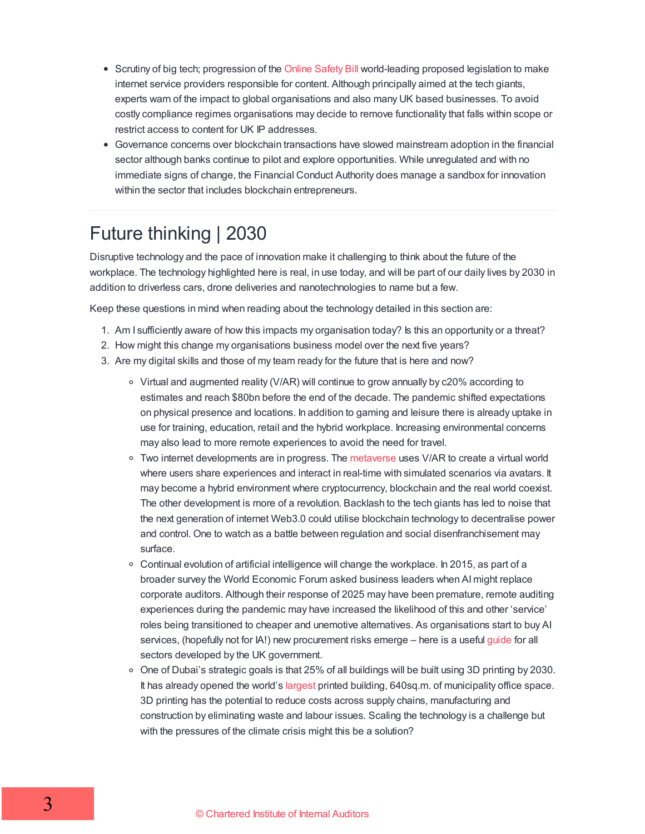- Scrutiny of big tech; progression of the Online [Safety](https://www.linkedin.com/pulse/online-safety-bill-compliance-could-cost-medium-size-business-hamman/) Bill world-leading proposed legislation to make internet service providers responsible for content. Although principally aimed at the tech giants, experts warn of the impact to global organisations and also many UK based businesses. To avoid costly compliance regimes organisations may decide to remove functionality that falls within scope or restrict access to content for UK IP addresses.
- Governance concerns over blockchain transactions have slowed mainstream adoption in the financial sector although banks continue to pilot and explore opportunities. While unregulated and with no immediate signs of change, the Financial Conduct Authority does manage a sandbox for innovation within the sector that includes blockchain entrepreneurs.

### Future thinking | 2030

Disruptive technology and the pace of innovation make it challenging to think about the future of the workplace. The technology highlighted here is real, in use today, and will be part of our daily lives by 2030 in addition to driverless cars, drone deliveries and nanotechnologies to name but a few.

Keep these questions in mind when reading about the technology detailed in this section are:

- 1. Am I sufficiently aware of how this impacts my organisation today? Is this an opportunity or a threat?
- 2. How might this change my organisations business model over the next five years?
- 3. Are my digital skills and those of my team ready for the future that is here and now?
	- Virtual and augmented reality (V/AR) will continue to grow annually by c20% according to estimates and reach \$80bn before the end of the decade. The pandemic shifted expectations on physical presence and locations. In addition to gaming and leisure there is already uptake in use for training, education, retail and the hybrid workplace. Increasing environmental concerns may also lead to more remote experiences to avoid the need for travel.
	- Two internet developments are in progress. The [metaverse](https://abcnews.go.com/Technology/metaverse-impact-world-future-technology/story?id=82519587) uses V/AR to create a virtual world where users share experiences and interact in real-time with simulated scenarios via avatars. It may become a hybrid environment where cryptocurrency, blockchain and the real world coexist. The other development is more of a revolution. Backlash to the tech giants has led to noise that the next generation of internet Web3.0 could utilise blockchain technology to decentralise power and control. One to watch as a battle between regulation and social disenfranchisement may surface.
	- $\circ$  Continual evolution of artificial intelligence will change the workplace. In 2015, as part of a broader survey the World Economic Forum asked business leaders when AImight replace corporate auditors. Although their response of 2025 may have been premature, remote auditing experiences during the pandemic may have increased the likelihood of this and other 'service' roles being transitioned to cheaper and unemotive alternatives. As organisations start to buy AI services, (hopefully not for IA!) new procurement risks emerge – here is a useful [guide](https://assets.publishing.service.gov.uk/government/uploads/system/uploads/attachment_data/file/990469/Guidelines_for_AI_procurement.pdf) for all sectors developed by the UK government.
	- $\circ$  One of Dubai's strategic goals is that 25% of all buildings will be built using 3D printing by 2030. It has already opened the world's [largest](https://singularityhub.com/2020/01/27/worlds-biggest-3d-printed-building-opens-in-dubai/) printed building, 640sq.m. of municipality office space. 3D printing has the potential to reduce costs across supply chains, manufacturing and construction by eliminating waste and labour issues. Scaling the technology is a challenge but with the pressures of the climate crisis might this be a solution?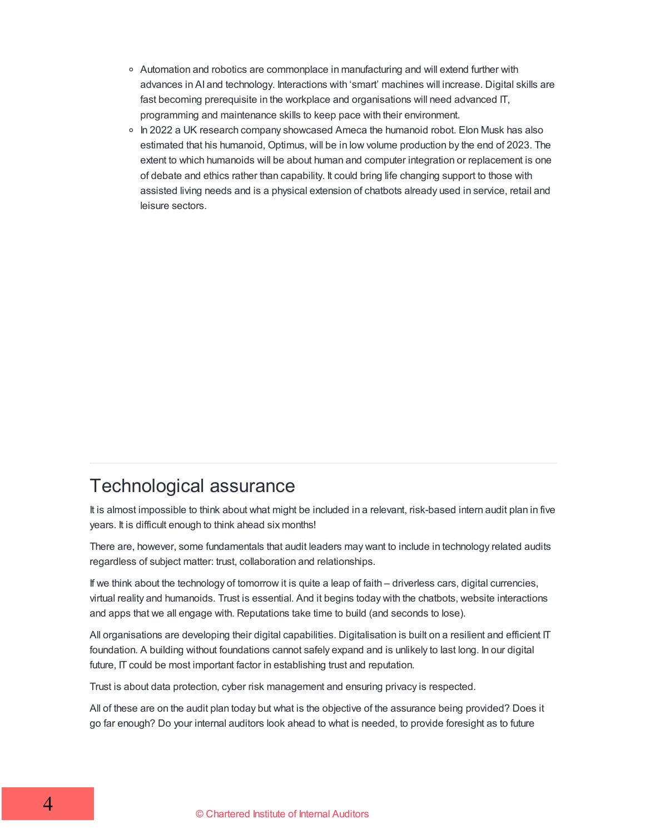- Automation and robotics are commonplace in manufacturing and will extend further with advances in AI and technology. Interactions with 'smart' machines will increase. Digital skills are fast becoming prerequisite in the workplace and organisations will need advanced IT, programming and maintenance skills to keep pace with their environment.
- In 2022 a UK research company showcased Ameca the humanoid robot. Elon Musk has also estimated that his humanoid, Optimus, will be in low volume production by the end of 2023. The extent to which humanoids will be about human and computer integration or replacement is one of debate and ethics rather than capability. It could bring life changing support to those with assisted living needs and is a physical extension of chatbots already used in service, retail and leisure sectors.

#### Technological assurance

It is almost impossible to think about what might be included in a relevant, risk-based intern audit plan in five years. It is difficult enough to think ahead six months!

There are, however, some fundamentals that audit leaders may want to include in technology related audits regardless of subject matter: trust, collaboration and relationships.

If we think about the technology of tomorrow it is quite a leap of faith – driverless cars, digital currencies, virtual reality and humanoids. Trust is essential. And it begins today with the chatbots, website interactions and apps that we all engage with. Reputations take time to build (and seconds to lose).

All organisations are developing their digital capabilities. Digitalisation is built on a resilient and efficient IT foundation. A building without foundations cannot safely expand and is unlikely to last long. In our digital future, IT could be most important factor in establishing trust and reputation.

Trust is about data protection, cyber risk management and ensuring privacy is respected.

All of these are on the audit plan today but what is the objective of the assurance being provided? Does it go far enough? Do your internal auditors look ahead to what is needed, to provide foresight as to future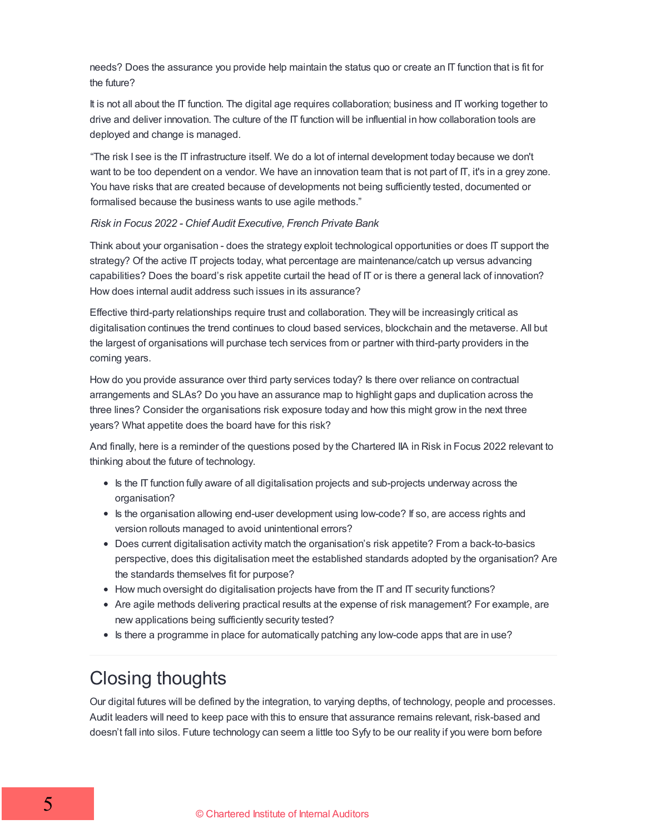needs? Does the assurance you provide help maintain the status quo or create an IT function that is fit for the future?

It is not all about the IT function. The digital age requires collaboration; business and IT working together to drive and deliver innovation. The culture of the IT function will be influential in how collaboration tools are deployed and change is managed.

"The risk I see is the IT infrastructure itself. We do a lot of internal development today because we don't want to be too dependent on a vendor. We have an innovation team that is not part of IT, it's in a grey zone. You have risks that are created because of developments not being sufficiently tested, documented or formalised because the business wants to use agile methods."

#### *Risk in Focus 2022 - Chief Audit Executive, French Private Bank*

Think about your organisation - does the strategy exploit technological opportunities or does IT support the strategy? Of the active IT projects today, what percentage are maintenance/catch up versus advancing capabilities? Does the board's risk appetite curtail the head of IT or is there a general lack of innovation? How does internal audit address such issues in its assurance?

Effective third-party relationships require trust and collaboration. They will be increasingly critical as digitalisation continues the trend continues to cloud based services, blockchain and the metaverse. All but the largest of organisations will purchase tech services from or partner with third-party providers in the coming years.

How do you provide assurance over third party services today? Is there over reliance on contractual arrangements and SLAs? Do you have an assurance map to highlight gaps and duplication across the three lines? Consider the organisations risk exposure today and how this might grow in the next three years? What appetite does the board have for this risk?

And finally, here is a reminder of the questions posed by the Chartered IIA in Risk in Focus 2022 relevant to thinking about the future of technology.

- Is the IT function fully aware of all digitalisation projects and sub-projects underway across the organisation?
- Is the organisation allowing end-user development using low-code? If so, are access rights and version rollouts managed to avoid unintentional errors?
- Does current digitalisation activity match the organisation's risk appetite? From a back-to-basics perspective, does this digitalisation meet the established standards adopted by the organisation? Are the standards themselves fit for purpose?
- How much oversight do digitalisation projects have from the IT and IT security functions?
- Are agile methods delivering practical results at the expense of risk management? For example, are new applications being sufficiently security tested?
- Is there a programme in place for automatically patching any low-code apps that are in use?

## Closing thoughts

Our digital futures will be defined by the integration, to varying depths, of technology, people and processes. Audit leaders will need to keep pace with this to ensure that assurance remains relevant, risk-based and doesn't fall into silos. Future technology can seem a little too Syfy to be our reality if you were born before